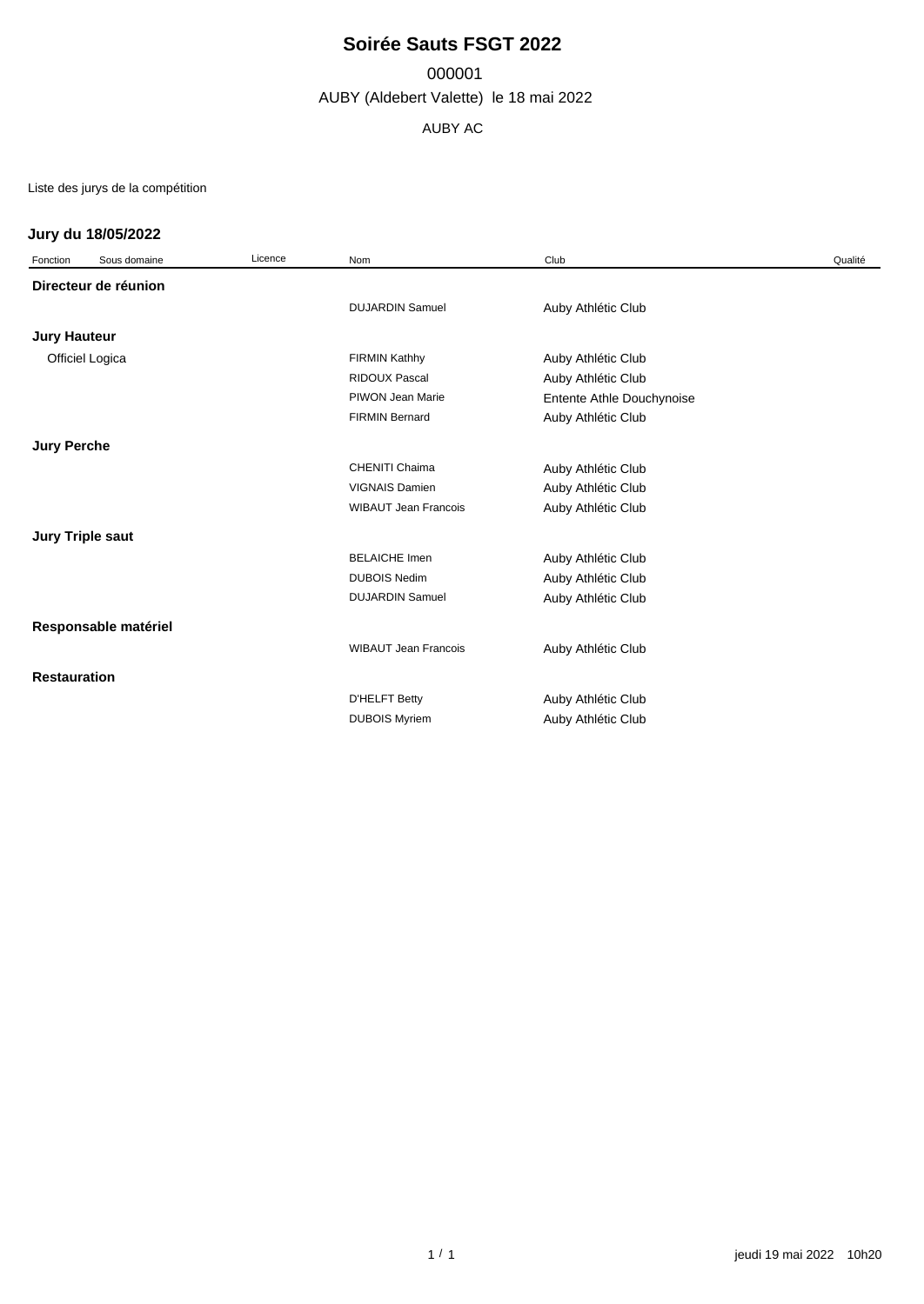# **Soirée Sauts FSGT 2022**

000001

AUBY (Aldebert Valette) le 18 mai 2022

AUBY AC

Liste des jurys de la compétition

### **Jury du 18/05/2022**

| Fonction            | Sous domaine            | Licence | Nom                         | Club                      | Qualité |
|---------------------|-------------------------|---------|-----------------------------|---------------------------|---------|
|                     | Directeur de réunion    |         |                             |                           |         |
|                     |                         |         | <b>DUJARDIN Samuel</b>      | Auby Athlétic Club        |         |
| Jury Hauteur        |                         |         |                             |                           |         |
|                     | Officiel Logica         |         | <b>FIRMIN Kathhy</b>        | Auby Athlétic Club        |         |
|                     |                         |         | <b>RIDOUX Pascal</b>        | Auby Athlétic Club        |         |
|                     |                         |         | PIWON Jean Marie            | Entente Athle Douchynoise |         |
|                     |                         |         | <b>FIRMIN Bernard</b>       | Auby Athlétic Club        |         |
| <b>Jury Perche</b>  |                         |         |                             |                           |         |
|                     |                         |         | <b>CHENITI Chaima</b>       | Auby Athlétic Club        |         |
|                     |                         |         | <b>VIGNAIS Damien</b>       | Auby Athlétic Club        |         |
|                     |                         |         | <b>WIBAUT Jean Francois</b> | Auby Athlétic Club        |         |
|                     | <b>Jury Triple saut</b> |         |                             |                           |         |
|                     |                         |         | <b>BELAICHE Imen</b>        | Auby Athlétic Club        |         |
|                     |                         |         | <b>DUBOIS Nedim</b>         | Auby Athlétic Club        |         |
|                     |                         |         | <b>DUJARDIN Samuel</b>      | Auby Athlétic Club        |         |
|                     | Responsable matériel    |         |                             |                           |         |
|                     |                         |         | <b>WIBAUT Jean Francois</b> | Auby Athlétic Club        |         |
| <b>Restauration</b> |                         |         |                             |                           |         |
|                     |                         |         | <b>D'HELFT Betty</b>        | Auby Athlétic Club        |         |
|                     |                         |         | <b>DUBOIS Myriem</b>        | Auby Athlétic Club        |         |